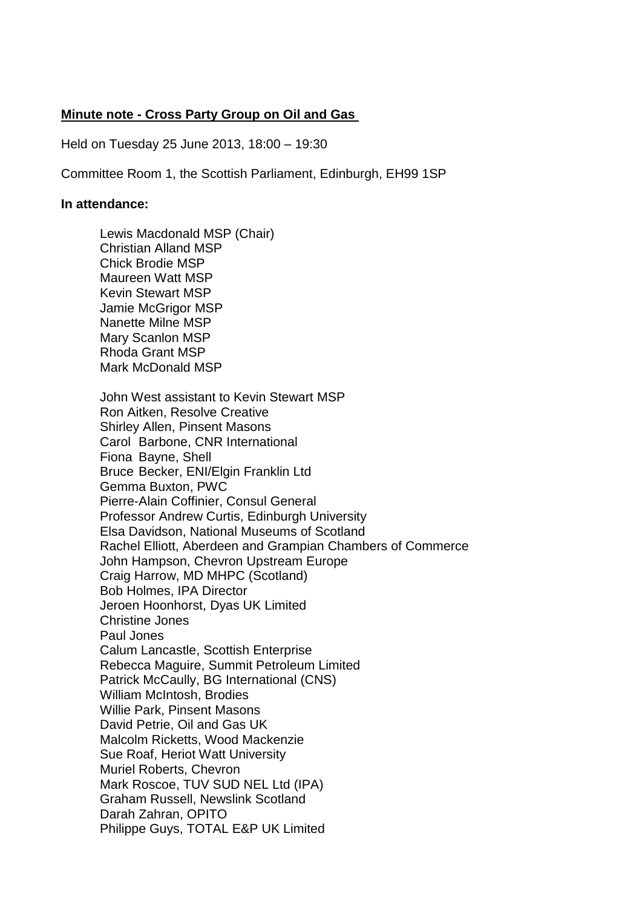## **Minute note - Cross Party Group on Oil and Gas**

Held on Tuesday 25 June 2013, 18:00 – 19:30

Committee Room 1, the Scottish Parliament, Edinburgh, EH99 1SP

#### **In attendance:**

Lewis Macdonald MSP (Chair) Christian Alland MSP Chick Brodie MSP Maureen Watt MSP Kevin Stewart MSP Jamie McGrigor MSP Nanette Milne MSP Mary Scanlon MSP Rhoda Grant MSP Mark McDonald MSP John West assistant to Kevin Stewart MSP Ron Aitken, Resolve Creative Shirley Allen, Pinsent Masons Carol Barbone, CNR International Fiona Bayne, Shell Bruce Becker, ENI/Elgin Franklin Ltd Gemma Buxton, PWC Pierre-Alain Coffinier, Consul General Professor Andrew Curtis, Edinburgh University Elsa Davidson, National Museums of Scotland Rachel Elliott, Aberdeen and Grampian Chambers of Commerce John Hampson, Chevron Upstream Europe Craig Harrow, MD MHPC (Scotland) Bob Holmes, IPA Director Jeroen Hoonhorst, Dyas UK Limited Christine Jones Paul Jones Calum Lancastle, Scottish Enterprise Rebecca Maguire, Summit Petroleum Limited Patrick McCaully, BG International (CNS) William McIntosh, Brodies Willie Park, Pinsent Masons David Petrie, Oil and Gas UK Malcolm Ricketts, Wood Mackenzie Sue Roaf, Heriot Watt University Muriel Roberts, Chevron Mark Roscoe, TUV SUD NEL Ltd (IPA) Graham Russell, Newslink Scotland Darah Zahran, OPITO Philippe Guys, TOTAL E&P UK Limited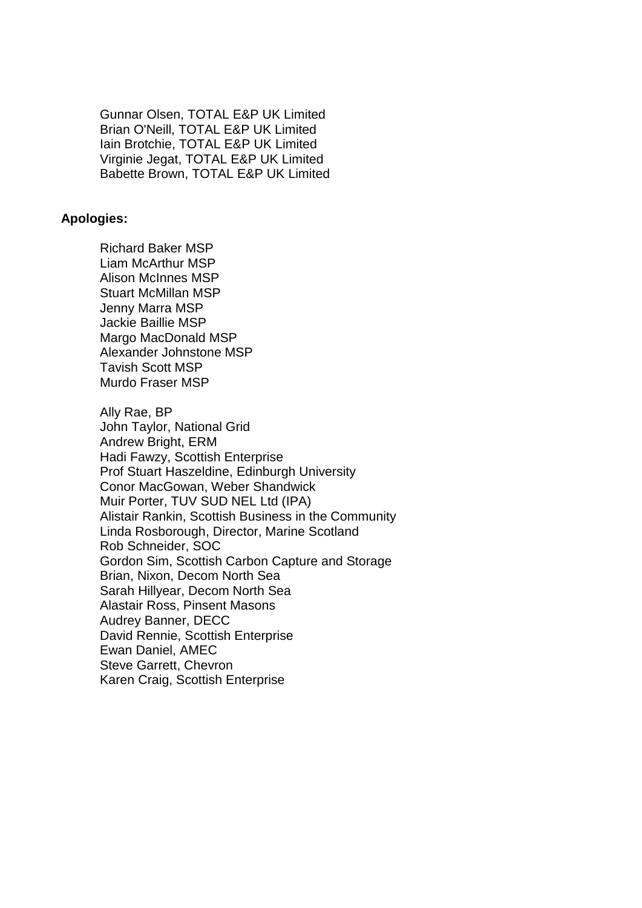Gunnar Olsen, TOTAL E&P UK Limited Brian O'Neill, TOTAL E&P UK Limited Iain Brotchie, TOTAL E&P UK Limited Virginie Jegat, TOTAL E&P UK Limited Babette Brown, TOTAL E&P UK Limited

### **Apologies:**

Richard Baker MSP Liam McArthur MSP Alison McInnes MSP Stuart McMillan MSP Jenny Marra MSP Jackie Baillie MSP Margo MacDonald MSP Alexander Johnstone MSP Tavish Scott MSP Murdo Fraser MSP

Ally Rae, BP John Taylor, National Grid Andrew Bright, ERM Hadi Fawzy, Scottish Enterprise Prof Stuart Haszeldine, Edinburgh University Conor MacGowan, Weber Shandwick Muir Porter, TUV SUD NEL Ltd (IPA) Alistair Rankin, Scottish Business in the Community Linda Rosborough, Director, Marine Scotland Rob Schneider, SOC Gordon Sim, Scottish Carbon Capture and Storage Brian, Nixon, Decom North Sea Sarah Hillyear, Decom North Sea Alastair Ross, Pinsent Masons Audrey Banner, DECC David Rennie, Scottish Enterprise Ewan Daniel, AMEC Steve Garrett, Chevron Karen Craig, Scottish Enterprise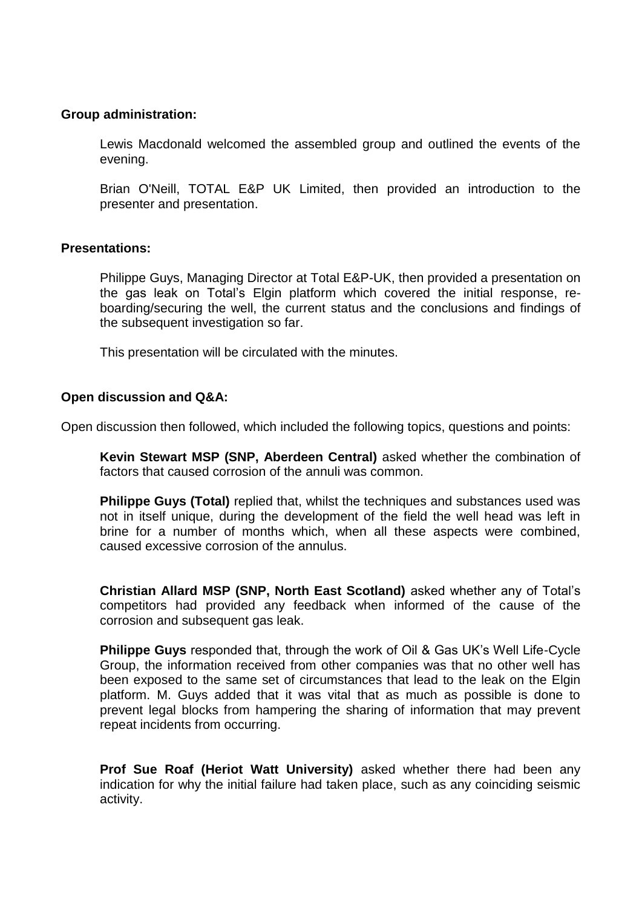## **Group administration:**

Lewis Macdonald welcomed the assembled group and outlined the events of the evening.

Brian O'Neill, TOTAL E&P UK Limited, then provided an introduction to the presenter and presentation.

### **Presentations:**

Philippe Guys, Managing Director at Total E&P-UK, then provided a presentation on the gas leak on Total's Elgin platform which covered the initial response, reboarding/securing the well, the current status and the conclusions and findings of the subsequent investigation so far.

This presentation will be circulated with the minutes.

# **Open discussion and Q&A:**

Open discussion then followed, which included the following topics, questions and points:

**Kevin Stewart MSP (SNP, Aberdeen Central)** asked whether the combination of factors that caused corrosion of the annuli was common.

**Philippe Guys (Total)** replied that, whilst the techniques and substances used was not in itself unique, during the development of the field the well head was left in brine for a number of months which, when all these aspects were combined, caused excessive corrosion of the annulus.

**Christian Allard MSP (SNP, North East Scotland)** asked whether any of Total's competitors had provided any feedback when informed of the cause of the corrosion and subsequent gas leak.

**Philippe Guys** responded that, through the work of Oil & Gas UK's Well Life-Cycle Group, the information received from other companies was that no other well has been exposed to the same set of circumstances that lead to the leak on the Elgin platform. M. Guys added that it was vital that as much as possible is done to prevent legal blocks from hampering the sharing of information that may prevent repeat incidents from occurring.

**Prof Sue Roaf (Heriot Watt University)** asked whether there had been any indication for why the initial failure had taken place, such as any coinciding seismic activity.